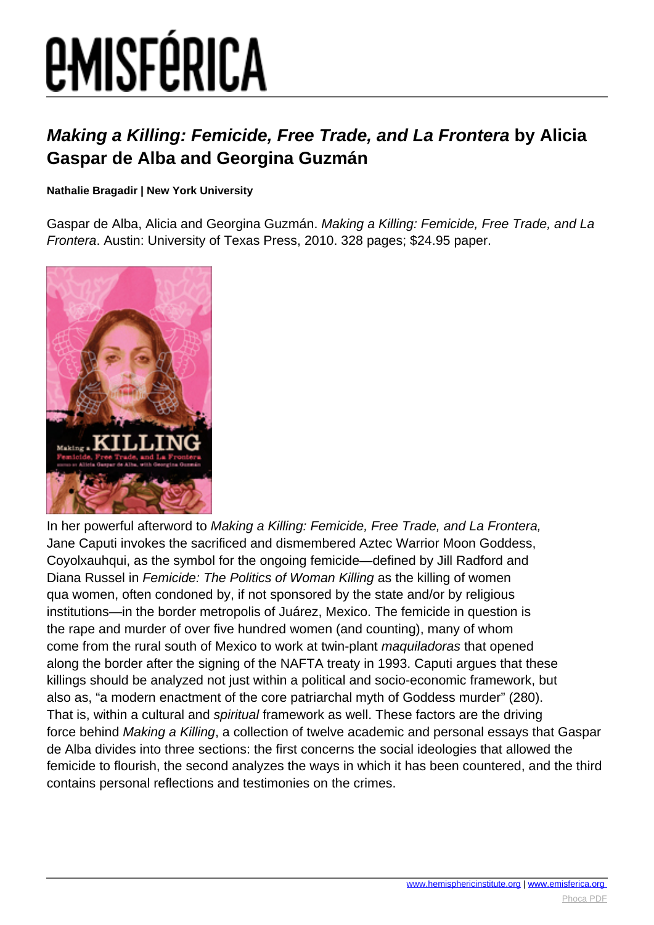# *EMISFÉRICA*

### **Making a Killing: Femicide, Free Trade, and La Frontera by Alicia Gaspar de Alba and Georgina Guzmán**

#### **Nathalie Bragadir | New York University**

Gaspar de Alba, Alicia and Georgina Guzmán. Making a Killing: Femicide, Free Trade, and La Frontera. Austin: University of Texas Press, 2010. 328 pages; \$24.95 paper.



In her powerful afterword to Making a Killing: Femicide, Free Trade, and La Frontera, Jane Caputi invokes the sacrificed and dismembered Aztec Warrior Moon Goddess, Coyolxauhqui, as the symbol for the ongoing femicide—defined by Jill Radford and Diana Russel in Femicide: The Politics of Woman Killing as the killing of women qua women, often condoned by, if not sponsored by the state and/or by religious institutions—in the border metropolis of Juárez, Mexico. The femicide in question is the rape and murder of over five hundred women (and counting), many of whom come from the rural south of Mexico to work at twin-plant maquiladoras that opened along the border after the signing of the NAFTA treaty in 1993. Caputi argues that these killings should be analyzed not just within a political and socio-economic framework, but also as, "a modern enactment of the core patriarchal myth of Goddess murder" (280). That is, within a cultural and spiritual framework as well. These factors are the driving force behind Making a Killing, a collection of twelve academic and personal essays that Gaspar de Alba divides into three sections: the first concerns the social ideologies that allowed the femicide to flourish, the second analyzes the ways in which it has been countered, and the third contains personal reflections and testimonies on the crimes.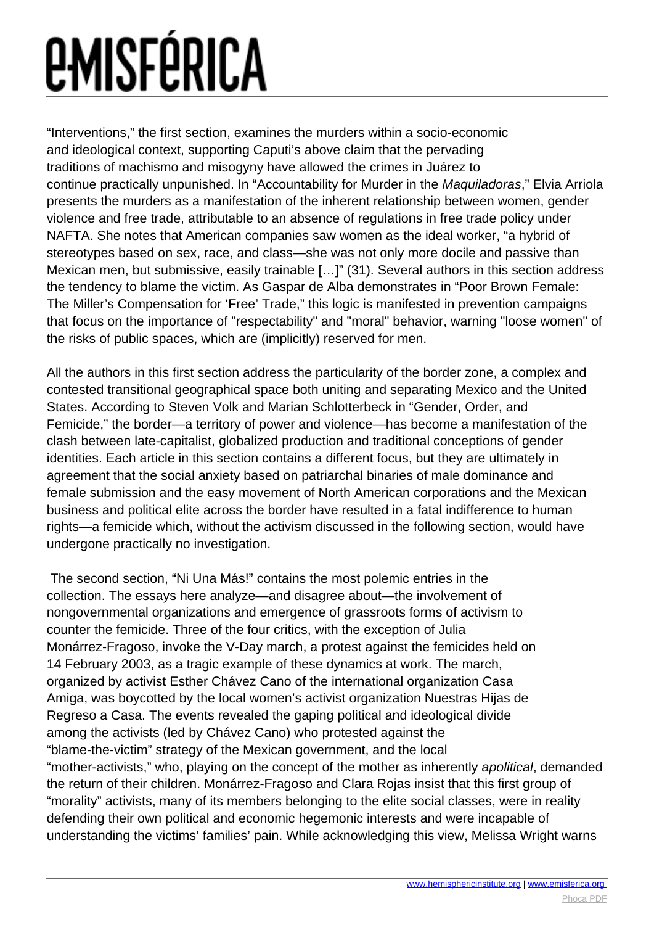# *<u>EMISFÉRICA</u>*

"Interventions," the first section, examines the murders within a socio-economic and ideological context, supporting Caputi's above claim that the pervading traditions of machismo and misogyny have allowed the crimes in Juárez to continue practically unpunished. In "Accountability for Murder in the Maquiladoras," Elvia Arriola presents the murders as a manifestation of the inherent relationship between women, gender violence and free trade, attributable to an absence of regulations in free trade policy under NAFTA. She notes that American companies saw women as the ideal worker, "a hybrid of stereotypes based on sex, race, and class—she was not only more docile and passive than Mexican men, but submissive, easily trainable […]" (31). Several authors in this section address the tendency to blame the victim. As Gaspar de Alba demonstrates in "Poor Brown Female: The Miller's Compensation for 'Free' Trade," this logic is manifested in prevention campaigns that focus on the importance of "respectability" and "moral" behavior, warning "loose women" of the risks of public spaces, which are (implicitly) reserved for men.

All the authors in this first section address the particularity of the border zone, a complex and contested transitional geographical space both uniting and separating Mexico and the United States. According to Steven Volk and Marian Schlotterbeck in "Gender, Order, and Femicide," the border—a territory of power and violence—has become a manifestation of the clash between late-capitalist, globalized production and traditional conceptions of gender identities. Each article in this section contains a different focus, but they are ultimately in agreement that the social anxiety based on patriarchal binaries of male dominance and female submission and the easy movement of North American corporations and the Mexican business and political elite across the border have resulted in a fatal indifference to human rights—a femicide which, without the activism discussed in the following section, would have undergone practically no investigation.

 The second section, "Ni Una Más!" contains the most polemic entries in the collection. The essays here analyze—and disagree about—the involvement of nongovernmental organizations and emergence of grassroots forms of activism to counter the femicide. Three of the four critics, with the exception of Julia Monárrez-Fragoso, invoke the V-Day march, a protest against the femicides held on 14 February 2003, as a tragic example of these dynamics at work. The march, organized by activist Esther Chávez Cano of the international organization Casa Amiga, was boycotted by the local women's activist organization Nuestras Hijas de Regreso a Casa. The events revealed the gaping political and ideological divide among the activists (led by Chávez Cano) who protested against the "blame-the-victim" strategy of the Mexican government, and the local "mother-activists," who, playing on the concept of the mother as inherently apolitical, demanded the return of their children. Monárrez-Fragoso and Clara Rojas insist that this first group of "morality" activists, many of its members belonging to the elite social classes, were in reality defending their own political and economic hegemonic interests and were incapable of understanding the victims' families' pain. While acknowledging this view, Melissa Wright warns